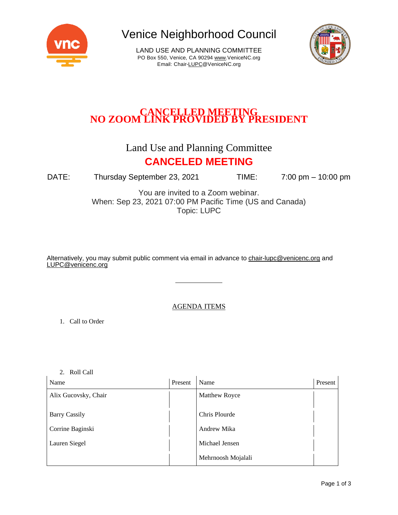

Venice Neighborhood Council

LAND USE AND PLANNING COMMITTEE PO Box 550, Venice, CA 90294 [www.VeniceNC.org](http://www.venicenc.org/) Email: Chai[r-LUPC@VeniceNC.org](mailto:LUPC@VeniceNC.org)



# **CANCELLED MEETING NO ZOOM LINK PROVIDED BY PRESIDENT**

#### Land Use and Planning Committee **CANCELED MEETING**

DATE: Thursday September 23, 2021 TIME: 7:00 pm – 10:00 pm

You are invited to a Zoom webinar. When: Sep 23, 2021 07:00 PM Pacific Time (US and Canada) Topic: LUPC

Alternatively, you may submit public comment via email in advance to [chair-lupc@venicenc.org](mailto:chair-lupc@venicenc.org) and [LUPC@venicenc.org](mailto:LUPC@venicenc.org)

#### AGENDA ITEMS

1. Call to Order

2. Roll Call

| Name                 | Present | Name                 | Present |
|----------------------|---------|----------------------|---------|
| Alix Gucovsky, Chair |         | <b>Matthew Royce</b> |         |
|                      |         |                      |         |
| <b>Barry Cassily</b> |         | Chris Plourde        |         |
| Corrine Baginski     |         | Andrew Mika          |         |
| Lauren Siegel        |         | Michael Jensen       |         |
|                      |         | Mehrnoosh Mojalali   |         |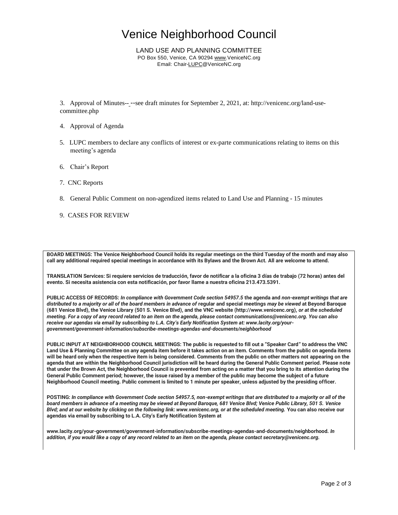## Venice Neighborhood Council

LAND USE AND PLANNING COMMITTEE PO Box 550, Venice, CA 90294 [www.VeniceNC.org](http://www.venicenc.org/) Email: Chai[r-LUPC@VeniceNC.org](mailto:LUPC@VeniceNC.org)

3. Approval of Minutes-- --see draft minutes for September 2, 2021, at: http://venicenc.org/land-usecommittee.php

- 4. Approval of Agenda
- 5. LUPC members to declare any conflicts of interest or ex-parte communications relating to items on this meeting's agenda
- 6. Chair's Report
- 7. CNC Reports
- 8. General Public Comment on non-agendized items related to Land Use and Planning 15 minutes
- 9. CASES FOR REVIEW

**BOARD MEETINGS: The Venice Neighborhood Council holds its regular meetings on the third Tuesday of the month and may also call any additional required special meetings in accordance with its Bylaws and the Brown Act. All are welcome to attend.** 

**TRANSLATION Services: Si requiere servicios de traducción, favor de notificar a la oficina 3 días de trabajo (72 horas) antes del evento. Si necesita asistencia con esta notificación, por favor llame a nuestra oficina 213.473.5391.** 

**PUBLIC ACCESS OF RECORDS:** *In compliance with Government Code section 54957.5* **the agenda and** *non-exempt writings that are distributed to a majority or all of the board members in advance of* **regular and special meetings** *may be viewed* **at Beyond Baroque (681 Venice Blvd), the Venice Library (501 S. Venice Blvd), and the VNC website (http://www.venicenc.org),** *or at the scheduled meeting. For a copy of any record related to an item on the agenda, please contact communications@venicenc.org. You can also receive our agendas via email by subscribing to L.A. City's Early Notification System at: www.lacity.org/yourgovernment/government-information/subscribe-meetings-agendas-and-documents/neighborhood* 

**PUBLIC INPUT AT NEIGHBORHOOD COUNCIL MEETINGS: The public is requested to fill out a "Speaker Card" to address the VNC Land Use & Planning Committee on any agenda item before it takes action on an item. Comments from the public on agenda items will be heard only when the respective item is being considered. Comments from the public on other matters not appearing on the agenda that are within the Neighborhood Council jurisdiction will be heard during the General Public Comment period. Please note that under the Brown Act, the Neighborhood Council is prevented from acting on a matter that you bring to its attention during the General Public Comment period; however, the issue raised by a member of the public may become the subject of a future Neighborhood Council meeting. Public comment is limited to 1 minute per speaker, unless adjusted by the presiding officer.** 

**POSTING:** *In compliance with Government Code section 54957.5, non-exempt writings that are distributed to a majority or all of the board members in advance of a meeting may be viewed at Beyond Baroque, 681 Venice Blvd; Venice Public Library, 501 S. Venice Blvd; and at our website by clicking on the following link: www.venicenc.org, or at the scheduled meeting.* **You can also receive our agendas via email by subscribing to L.A. City's Early Notification System at** 

**www.lacity.org/your-government/government-information/subscribe-meetings-agendas-and-documents/neighborhood.** *In addition, if you would like a copy of any record related to an item on the agenda, please contact secretary@venicenc.org.*